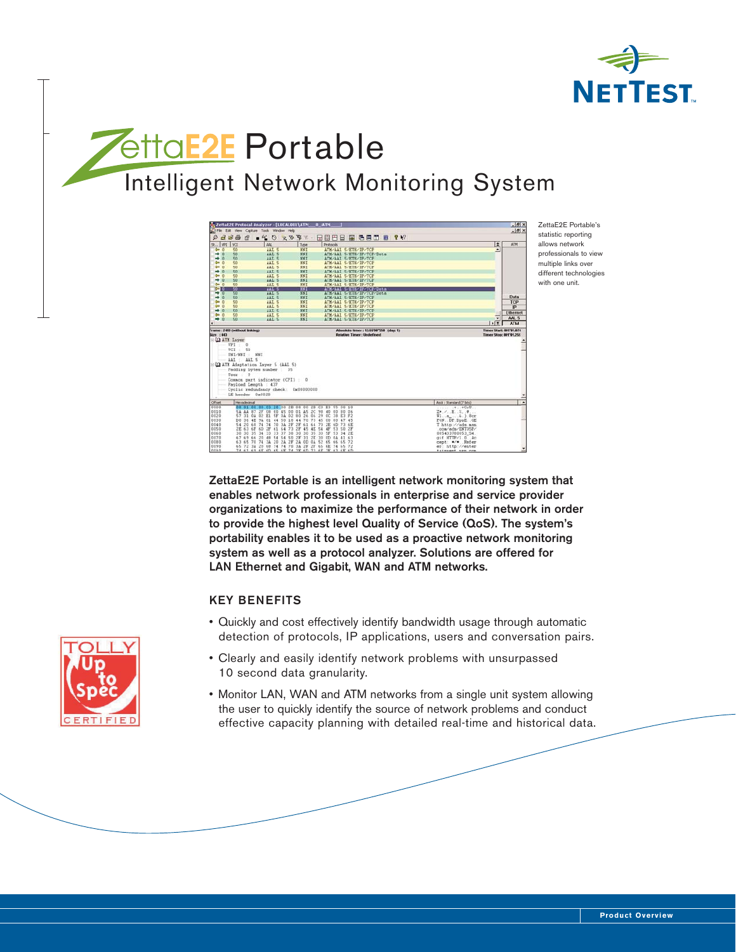

## *<u>EttaE2E</u>* Portable Intelligent Network Monitoring System

| File Edit View Capture Tools Window Help<br>388<br>田田巴目<br>图 各自田 B Y Y<br>$\mathcal{D}$<br>$-160 \times 95$<br>r <sup>Q</sup><br>E<br>ATM<br><b>I</b> va<br>VPE<br>AAL<br>Protocols<br>Type<br>der.<br><b>NNT</b><br>ATM-AAL S-ETH-IP-TCP<br>O<br>50<br>AAL 5<br>×<br>→<br><b>NN1</b><br>ø<br>50<br>AAT S<br>ATM/AAL S/ETH/IP/ICP/Data<br>50<br><b>NNT</b><br>⇢<br>n<br>AAL 5<br>ATM/AAL 5/ETH/IP/TCP<br>das<br>o<br>50<br>AAT. S<br>NNT<br>ATM/AAL S/ETH/IP/TCP<br>$\circ$<br>$rac{1}{2}$<br>50<br>NHT<br>AAL 5<br>ATM/AAL 5/ETH/IP/TCP<br>÷<br><b>TO</b><br>50<br>AAL S<br>NEI<br>ATM/AAL 5/ETH/IP/TCP<br><b>der</b><br>$\overline{0}$<br>50<br>AAL 5<br>NNI<br>ATM/AAL 5/ETH/IP/TCP<br>$\rightarrow$ 0<br>\$0<br>AAL 5<br><b>NKI</b><br>ATM/AAL 5/ETH/IP/TCP<br>50<br>NNI<br>4000<br>AAL 5<br>ATM/AAL 5/ETH/IP/TCP<br>30<br>882<br>AAL S<br>ATE/AAL 5-ETH/IP/TCP/Data<br><b>PERSONAL</b><br>50<br>AAL 5<br>NNT <sub>1</sub><br>→<br>ATM/AAL 5/ETH/IP/TCP/Data<br>o<br>Data<br>→<br>50<br>ATM/AAL S/ETR/IP/TCE<br>$\theta$<br><b>AAL</b><br>NN1<br>$\Omega$<br>NNI<br>TCP<br>$rac{1}{2}$<br>50<br>AAL 5<br>ATM-AAL S/ETH/IP/TCP<br>$Q = 0$<br>€n<br>AAL 5<br>NN1<br>ATM/AAL S/ETH/IP/TCP<br><b>IP</b><br>$+0$<br>50<br>NNI<br>AAL 5<br>ATM/AAL S/ETH/IP/TCP<br><b>Ethernet</b><br>$d = 0$<br>50<br>NNT<br>ATM/AAL S/ETH/IP/TCP<br>AAL 5<br>∓<br>AAL 5<br>$+0$<br>50<br><b>NNI</b><br>AAL 5<br>ATM/AAL S/ETH/IP/TCP<br>$\sqrt{3}$<br>ATM<br><b>Timer Start: 001'01.074</b><br>Frame: 2493 (without linking)<br>Absolute timer : 12:55'09'258 (day: 1)<br>Size : 443<br><b>Relative Times: Undefined</b><br>Timer 50pp; 001'01.255<br><b>Q</b> ATM Layer<br>VPI 0<br>VCI: 50<br>UNI/NNI<br>358.7<br><b>JAL</b><br>AAL 5<br><b>CO ATM Adaptation Layer 5 (AAL S)</b><br>Padding bytes number : 35<br>User: 0<br>Common part indicator (CPI) : 0<br>Payload Length : 437<br>Cyclic redundancy check: 0x00000000<br>IE header 0x002B<br>Herzedecimal<br>Ascii : Standard (7 bits)<br>0000<br>மை<br>$+++CcU$<br>00<br>$2B$ OB<br>00 2B<br>- 63<br>C3 E3<br>55.<br>00 10<br>0010<br>AS.<br>2 <sup>C</sup><br>98<br>$Z = -1, -1, -2, -9, $<br>5Å<br>AA<br>2F<br>08<br>00<br>45<br>00<br>01<br>40<br>00<br>80 06<br>87<br>0020<br>57<br>31<br>0 <sub>k</sub><br>$02^{+}$<br>E1<br>SF.<br>0 <sub>A</sub><br>02<br>00<br>26<br>06<br>29.<br>$_{0c}$<br>38<br>Ul.a., L.).Bcr<br>E3 F2<br>0030<br>73<br>94<br>81<br>50<br>18<br>70<br>00<br>00<br>P6N. DP.DpsE. GE<br>D0<br>36<br>4E<br>44<br>44<br>45<br>45<br>28<br>0040<br>20<br>24<br>70<br>3 <sub>A</sub><br>61<br>64<br>73<br>se<br>2F<br>6D<br>Thttp://ads.asp<br>74<br>0050<br>73<br>2E<br>63<br>2F<br>2F<br>45<br>4E<br>54<br>6F<br>6D<br>61<br>64<br>4F<br>53<br>con/ads/ENT0SP/<br>50<br>2F<br>0060<br>35<br>30<br>35<br>33<br>33<br>37<br>38<br>30<br>30<br>33<br>005433700053 54<br>3h<br>34<br>5.97<br>2E<br>0070<br>67 69<br>20<br>48<br>54 54 50<br>2F<br>31<br>30<br>gif HTTP/1.0. Ac<br>66<br>0D<br>OA<br>41,63<br>20<br>2A<br>2F<br>2k<br>0D<br>$0\text{A}$<br>52<br>74<br>3 <sub>A</sub><br>63 65<br>70<br>65<br>66<br>65.72<br>cept: */* Refer<br>0090<br>65 72 34 28 68 74 74 70 34 27 27 65 6E 74 65 72<br>er: http://enter<br>n <sup>max</sup><br>74 61 69 68 60 66 68 74 78 60 73 68 78 63 68 60<br>Fainbook, non, non |                         | ZettaE2E Protocal Analyzer - [LDCALODI\ATM __ 0_:ATM ___ ] |  |  |  | $-8x$ |
|--------------------------------------------------------------------------------------------------------------------------------------------------------------------------------------------------------------------------------------------------------------------------------------------------------------------------------------------------------------------------------------------------------------------------------------------------------------------------------------------------------------------------------------------------------------------------------------------------------------------------------------------------------------------------------------------------------------------------------------------------------------------------------------------------------------------------------------------------------------------------------------------------------------------------------------------------------------------------------------------------------------------------------------------------------------------------------------------------------------------------------------------------------------------------------------------------------------------------------------------------------------------------------------------------------------------------------------------------------------------------------------------------------------------------------------------------------------------------------------------------------------------------------------------------------------------------------------------------------------------------------------------------------------------------------------------------------------------------------------------------------------------------------------------------------------------------------------------------------------------------------------------------------------------------------------------------------------------------------------------------------------------------------------------------------------------------------------------------------------------------------------------------------------------------------------------------------------------------------------------------------------------------------------------------------------------------------------------------------------------------------------------------------------------------------------------------------------------------------------------------------------------------------------------------------------------------------------------------------------------------------------------------------------------------------------------------------------------------------------------------------------------------------------------------------------------------------------------------------------------------------------------------------------------------------------------------------------------------------------------------------------------------------------------------------------------------------------------------------------------------------------------------------------------------------------------------------------------------------------------------------------------------------------|-------------------------|------------------------------------------------------------|--|--|--|-------|
|                                                                                                                                                                                                                                                                                                                                                                                                                                                                                                                                                                                                                                                                                                                                                                                                                                                                                                                                                                                                                                                                                                                                                                                                                                                                                                                                                                                                                                                                                                                                                                                                                                                                                                                                                                                                                                                                                                                                                                                                                                                                                                                                                                                                                                                                                                                                                                                                                                                                                                                                                                                                                                                                                                                                                                                                                                                                                                                                                                                                                                                                                                                                                                                                                                                                                      |                         |                                                            |  |  |  | $-10$ |
|                                                                                                                                                                                                                                                                                                                                                                                                                                                                                                                                                                                                                                                                                                                                                                                                                                                                                                                                                                                                                                                                                                                                                                                                                                                                                                                                                                                                                                                                                                                                                                                                                                                                                                                                                                                                                                                                                                                                                                                                                                                                                                                                                                                                                                                                                                                                                                                                                                                                                                                                                                                                                                                                                                                                                                                                                                                                                                                                                                                                                                                                                                                                                                                                                                                                                      |                         |                                                            |  |  |  |       |
|                                                                                                                                                                                                                                                                                                                                                                                                                                                                                                                                                                                                                                                                                                                                                                                                                                                                                                                                                                                                                                                                                                                                                                                                                                                                                                                                                                                                                                                                                                                                                                                                                                                                                                                                                                                                                                                                                                                                                                                                                                                                                                                                                                                                                                                                                                                                                                                                                                                                                                                                                                                                                                                                                                                                                                                                                                                                                                                                                                                                                                                                                                                                                                                                                                                                                      | $\overline{\mathbf{x}}$ |                                                            |  |  |  |       |
|                                                                                                                                                                                                                                                                                                                                                                                                                                                                                                                                                                                                                                                                                                                                                                                                                                                                                                                                                                                                                                                                                                                                                                                                                                                                                                                                                                                                                                                                                                                                                                                                                                                                                                                                                                                                                                                                                                                                                                                                                                                                                                                                                                                                                                                                                                                                                                                                                                                                                                                                                                                                                                                                                                                                                                                                                                                                                                                                                                                                                                                                                                                                                                                                                                                                                      |                         |                                                            |  |  |  |       |
|                                                                                                                                                                                                                                                                                                                                                                                                                                                                                                                                                                                                                                                                                                                                                                                                                                                                                                                                                                                                                                                                                                                                                                                                                                                                                                                                                                                                                                                                                                                                                                                                                                                                                                                                                                                                                                                                                                                                                                                                                                                                                                                                                                                                                                                                                                                                                                                                                                                                                                                                                                                                                                                                                                                                                                                                                                                                                                                                                                                                                                                                                                                                                                                                                                                                                      |                         |                                                            |  |  |  |       |
|                                                                                                                                                                                                                                                                                                                                                                                                                                                                                                                                                                                                                                                                                                                                                                                                                                                                                                                                                                                                                                                                                                                                                                                                                                                                                                                                                                                                                                                                                                                                                                                                                                                                                                                                                                                                                                                                                                                                                                                                                                                                                                                                                                                                                                                                                                                                                                                                                                                                                                                                                                                                                                                                                                                                                                                                                                                                                                                                                                                                                                                                                                                                                                                                                                                                                      |                         |                                                            |  |  |  |       |
|                                                                                                                                                                                                                                                                                                                                                                                                                                                                                                                                                                                                                                                                                                                                                                                                                                                                                                                                                                                                                                                                                                                                                                                                                                                                                                                                                                                                                                                                                                                                                                                                                                                                                                                                                                                                                                                                                                                                                                                                                                                                                                                                                                                                                                                                                                                                                                                                                                                                                                                                                                                                                                                                                                                                                                                                                                                                                                                                                                                                                                                                                                                                                                                                                                                                                      |                         |                                                            |  |  |  |       |
|                                                                                                                                                                                                                                                                                                                                                                                                                                                                                                                                                                                                                                                                                                                                                                                                                                                                                                                                                                                                                                                                                                                                                                                                                                                                                                                                                                                                                                                                                                                                                                                                                                                                                                                                                                                                                                                                                                                                                                                                                                                                                                                                                                                                                                                                                                                                                                                                                                                                                                                                                                                                                                                                                                                                                                                                                                                                                                                                                                                                                                                                                                                                                                                                                                                                                      |                         |                                                            |  |  |  |       |
|                                                                                                                                                                                                                                                                                                                                                                                                                                                                                                                                                                                                                                                                                                                                                                                                                                                                                                                                                                                                                                                                                                                                                                                                                                                                                                                                                                                                                                                                                                                                                                                                                                                                                                                                                                                                                                                                                                                                                                                                                                                                                                                                                                                                                                                                                                                                                                                                                                                                                                                                                                                                                                                                                                                                                                                                                                                                                                                                                                                                                                                                                                                                                                                                                                                                                      |                         |                                                            |  |  |  |       |
|                                                                                                                                                                                                                                                                                                                                                                                                                                                                                                                                                                                                                                                                                                                                                                                                                                                                                                                                                                                                                                                                                                                                                                                                                                                                                                                                                                                                                                                                                                                                                                                                                                                                                                                                                                                                                                                                                                                                                                                                                                                                                                                                                                                                                                                                                                                                                                                                                                                                                                                                                                                                                                                                                                                                                                                                                                                                                                                                                                                                                                                                                                                                                                                                                                                                                      |                         |                                                            |  |  |  |       |
|                                                                                                                                                                                                                                                                                                                                                                                                                                                                                                                                                                                                                                                                                                                                                                                                                                                                                                                                                                                                                                                                                                                                                                                                                                                                                                                                                                                                                                                                                                                                                                                                                                                                                                                                                                                                                                                                                                                                                                                                                                                                                                                                                                                                                                                                                                                                                                                                                                                                                                                                                                                                                                                                                                                                                                                                                                                                                                                                                                                                                                                                                                                                                                                                                                                                                      |                         |                                                            |  |  |  |       |
|                                                                                                                                                                                                                                                                                                                                                                                                                                                                                                                                                                                                                                                                                                                                                                                                                                                                                                                                                                                                                                                                                                                                                                                                                                                                                                                                                                                                                                                                                                                                                                                                                                                                                                                                                                                                                                                                                                                                                                                                                                                                                                                                                                                                                                                                                                                                                                                                                                                                                                                                                                                                                                                                                                                                                                                                                                                                                                                                                                                                                                                                                                                                                                                                                                                                                      |                         |                                                            |  |  |  |       |
|                                                                                                                                                                                                                                                                                                                                                                                                                                                                                                                                                                                                                                                                                                                                                                                                                                                                                                                                                                                                                                                                                                                                                                                                                                                                                                                                                                                                                                                                                                                                                                                                                                                                                                                                                                                                                                                                                                                                                                                                                                                                                                                                                                                                                                                                                                                                                                                                                                                                                                                                                                                                                                                                                                                                                                                                                                                                                                                                                                                                                                                                                                                                                                                                                                                                                      |                         |                                                            |  |  |  |       |
|                                                                                                                                                                                                                                                                                                                                                                                                                                                                                                                                                                                                                                                                                                                                                                                                                                                                                                                                                                                                                                                                                                                                                                                                                                                                                                                                                                                                                                                                                                                                                                                                                                                                                                                                                                                                                                                                                                                                                                                                                                                                                                                                                                                                                                                                                                                                                                                                                                                                                                                                                                                                                                                                                                                                                                                                                                                                                                                                                                                                                                                                                                                                                                                                                                                                                      |                         |                                                            |  |  |  |       |
|                                                                                                                                                                                                                                                                                                                                                                                                                                                                                                                                                                                                                                                                                                                                                                                                                                                                                                                                                                                                                                                                                                                                                                                                                                                                                                                                                                                                                                                                                                                                                                                                                                                                                                                                                                                                                                                                                                                                                                                                                                                                                                                                                                                                                                                                                                                                                                                                                                                                                                                                                                                                                                                                                                                                                                                                                                                                                                                                                                                                                                                                                                                                                                                                                                                                                      |                         |                                                            |  |  |  |       |
|                                                                                                                                                                                                                                                                                                                                                                                                                                                                                                                                                                                                                                                                                                                                                                                                                                                                                                                                                                                                                                                                                                                                                                                                                                                                                                                                                                                                                                                                                                                                                                                                                                                                                                                                                                                                                                                                                                                                                                                                                                                                                                                                                                                                                                                                                                                                                                                                                                                                                                                                                                                                                                                                                                                                                                                                                                                                                                                                                                                                                                                                                                                                                                                                                                                                                      |                         |                                                            |  |  |  |       |
|                                                                                                                                                                                                                                                                                                                                                                                                                                                                                                                                                                                                                                                                                                                                                                                                                                                                                                                                                                                                                                                                                                                                                                                                                                                                                                                                                                                                                                                                                                                                                                                                                                                                                                                                                                                                                                                                                                                                                                                                                                                                                                                                                                                                                                                                                                                                                                                                                                                                                                                                                                                                                                                                                                                                                                                                                                                                                                                                                                                                                                                                                                                                                                                                                                                                                      |                         |                                                            |  |  |  |       |
|                                                                                                                                                                                                                                                                                                                                                                                                                                                                                                                                                                                                                                                                                                                                                                                                                                                                                                                                                                                                                                                                                                                                                                                                                                                                                                                                                                                                                                                                                                                                                                                                                                                                                                                                                                                                                                                                                                                                                                                                                                                                                                                                                                                                                                                                                                                                                                                                                                                                                                                                                                                                                                                                                                                                                                                                                                                                                                                                                                                                                                                                                                                                                                                                                                                                                      |                         |                                                            |  |  |  |       |
|                                                                                                                                                                                                                                                                                                                                                                                                                                                                                                                                                                                                                                                                                                                                                                                                                                                                                                                                                                                                                                                                                                                                                                                                                                                                                                                                                                                                                                                                                                                                                                                                                                                                                                                                                                                                                                                                                                                                                                                                                                                                                                                                                                                                                                                                                                                                                                                                                                                                                                                                                                                                                                                                                                                                                                                                                                                                                                                                                                                                                                                                                                                                                                                                                                                                                      |                         |                                                            |  |  |  |       |
|                                                                                                                                                                                                                                                                                                                                                                                                                                                                                                                                                                                                                                                                                                                                                                                                                                                                                                                                                                                                                                                                                                                                                                                                                                                                                                                                                                                                                                                                                                                                                                                                                                                                                                                                                                                                                                                                                                                                                                                                                                                                                                                                                                                                                                                                                                                                                                                                                                                                                                                                                                                                                                                                                                                                                                                                                                                                                                                                                                                                                                                                                                                                                                                                                                                                                      | ٠                       |                                                            |  |  |  |       |
|                                                                                                                                                                                                                                                                                                                                                                                                                                                                                                                                                                                                                                                                                                                                                                                                                                                                                                                                                                                                                                                                                                                                                                                                                                                                                                                                                                                                                                                                                                                                                                                                                                                                                                                                                                                                                                                                                                                                                                                                                                                                                                                                                                                                                                                                                                                                                                                                                                                                                                                                                                                                                                                                                                                                                                                                                                                                                                                                                                                                                                                                                                                                                                                                                                                                                      |                         |                                                            |  |  |  |       |
|                                                                                                                                                                                                                                                                                                                                                                                                                                                                                                                                                                                                                                                                                                                                                                                                                                                                                                                                                                                                                                                                                                                                                                                                                                                                                                                                                                                                                                                                                                                                                                                                                                                                                                                                                                                                                                                                                                                                                                                                                                                                                                                                                                                                                                                                                                                                                                                                                                                                                                                                                                                                                                                                                                                                                                                                                                                                                                                                                                                                                                                                                                                                                                                                                                                                                      |                         |                                                            |  |  |  |       |
|                                                                                                                                                                                                                                                                                                                                                                                                                                                                                                                                                                                                                                                                                                                                                                                                                                                                                                                                                                                                                                                                                                                                                                                                                                                                                                                                                                                                                                                                                                                                                                                                                                                                                                                                                                                                                                                                                                                                                                                                                                                                                                                                                                                                                                                                                                                                                                                                                                                                                                                                                                                                                                                                                                                                                                                                                                                                                                                                                                                                                                                                                                                                                                                                                                                                                      |                         |                                                            |  |  |  |       |
|                                                                                                                                                                                                                                                                                                                                                                                                                                                                                                                                                                                                                                                                                                                                                                                                                                                                                                                                                                                                                                                                                                                                                                                                                                                                                                                                                                                                                                                                                                                                                                                                                                                                                                                                                                                                                                                                                                                                                                                                                                                                                                                                                                                                                                                                                                                                                                                                                                                                                                                                                                                                                                                                                                                                                                                                                                                                                                                                                                                                                                                                                                                                                                                                                                                                                      |                         |                                                            |  |  |  |       |
|                                                                                                                                                                                                                                                                                                                                                                                                                                                                                                                                                                                                                                                                                                                                                                                                                                                                                                                                                                                                                                                                                                                                                                                                                                                                                                                                                                                                                                                                                                                                                                                                                                                                                                                                                                                                                                                                                                                                                                                                                                                                                                                                                                                                                                                                                                                                                                                                                                                                                                                                                                                                                                                                                                                                                                                                                                                                                                                                                                                                                                                                                                                                                                                                                                                                                      |                         |                                                            |  |  |  |       |
|                                                                                                                                                                                                                                                                                                                                                                                                                                                                                                                                                                                                                                                                                                                                                                                                                                                                                                                                                                                                                                                                                                                                                                                                                                                                                                                                                                                                                                                                                                                                                                                                                                                                                                                                                                                                                                                                                                                                                                                                                                                                                                                                                                                                                                                                                                                                                                                                                                                                                                                                                                                                                                                                                                                                                                                                                                                                                                                                                                                                                                                                                                                                                                                                                                                                                      |                         |                                                            |  |  |  |       |
|                                                                                                                                                                                                                                                                                                                                                                                                                                                                                                                                                                                                                                                                                                                                                                                                                                                                                                                                                                                                                                                                                                                                                                                                                                                                                                                                                                                                                                                                                                                                                                                                                                                                                                                                                                                                                                                                                                                                                                                                                                                                                                                                                                                                                                                                                                                                                                                                                                                                                                                                                                                                                                                                                                                                                                                                                                                                                                                                                                                                                                                                                                                                                                                                                                                                                      |                         |                                                            |  |  |  |       |
|                                                                                                                                                                                                                                                                                                                                                                                                                                                                                                                                                                                                                                                                                                                                                                                                                                                                                                                                                                                                                                                                                                                                                                                                                                                                                                                                                                                                                                                                                                                                                                                                                                                                                                                                                                                                                                                                                                                                                                                                                                                                                                                                                                                                                                                                                                                                                                                                                                                                                                                                                                                                                                                                                                                                                                                                                                                                                                                                                                                                                                                                                                                                                                                                                                                                                      |                         |                                                            |  |  |  |       |
|                                                                                                                                                                                                                                                                                                                                                                                                                                                                                                                                                                                                                                                                                                                                                                                                                                                                                                                                                                                                                                                                                                                                                                                                                                                                                                                                                                                                                                                                                                                                                                                                                                                                                                                                                                                                                                                                                                                                                                                                                                                                                                                                                                                                                                                                                                                                                                                                                                                                                                                                                                                                                                                                                                                                                                                                                                                                                                                                                                                                                                                                                                                                                                                                                                                                                      |                         |                                                            |  |  |  |       |
|                                                                                                                                                                                                                                                                                                                                                                                                                                                                                                                                                                                                                                                                                                                                                                                                                                                                                                                                                                                                                                                                                                                                                                                                                                                                                                                                                                                                                                                                                                                                                                                                                                                                                                                                                                                                                                                                                                                                                                                                                                                                                                                                                                                                                                                                                                                                                                                                                                                                                                                                                                                                                                                                                                                                                                                                                                                                                                                                                                                                                                                                                                                                                                                                                                                                                      |                         |                                                            |  |  |  |       |
|                                                                                                                                                                                                                                                                                                                                                                                                                                                                                                                                                                                                                                                                                                                                                                                                                                                                                                                                                                                                                                                                                                                                                                                                                                                                                                                                                                                                                                                                                                                                                                                                                                                                                                                                                                                                                                                                                                                                                                                                                                                                                                                                                                                                                                                                                                                                                                                                                                                                                                                                                                                                                                                                                                                                                                                                                                                                                                                                                                                                                                                                                                                                                                                                                                                                                      |                         |                                                            |  |  |  |       |
|                                                                                                                                                                                                                                                                                                                                                                                                                                                                                                                                                                                                                                                                                                                                                                                                                                                                                                                                                                                                                                                                                                                                                                                                                                                                                                                                                                                                                                                                                                                                                                                                                                                                                                                                                                                                                                                                                                                                                                                                                                                                                                                                                                                                                                                                                                                                                                                                                                                                                                                                                                                                                                                                                                                                                                                                                                                                                                                                                                                                                                                                                                                                                                                                                                                                                      |                         |                                                            |  |  |  |       |
|                                                                                                                                                                                                                                                                                                                                                                                                                                                                                                                                                                                                                                                                                                                                                                                                                                                                                                                                                                                                                                                                                                                                                                                                                                                                                                                                                                                                                                                                                                                                                                                                                                                                                                                                                                                                                                                                                                                                                                                                                                                                                                                                                                                                                                                                                                                                                                                                                                                                                                                                                                                                                                                                                                                                                                                                                                                                                                                                                                                                                                                                                                                                                                                                                                                                                      | Offset                  |                                                            |  |  |  |       |
|                                                                                                                                                                                                                                                                                                                                                                                                                                                                                                                                                                                                                                                                                                                                                                                                                                                                                                                                                                                                                                                                                                                                                                                                                                                                                                                                                                                                                                                                                                                                                                                                                                                                                                                                                                                                                                                                                                                                                                                                                                                                                                                                                                                                                                                                                                                                                                                                                                                                                                                                                                                                                                                                                                                                                                                                                                                                                                                                                                                                                                                                                                                                                                                                                                                                                      |                         |                                                            |  |  |  |       |
|                                                                                                                                                                                                                                                                                                                                                                                                                                                                                                                                                                                                                                                                                                                                                                                                                                                                                                                                                                                                                                                                                                                                                                                                                                                                                                                                                                                                                                                                                                                                                                                                                                                                                                                                                                                                                                                                                                                                                                                                                                                                                                                                                                                                                                                                                                                                                                                                                                                                                                                                                                                                                                                                                                                                                                                                                                                                                                                                                                                                                                                                                                                                                                                                                                                                                      |                         |                                                            |  |  |  |       |
|                                                                                                                                                                                                                                                                                                                                                                                                                                                                                                                                                                                                                                                                                                                                                                                                                                                                                                                                                                                                                                                                                                                                                                                                                                                                                                                                                                                                                                                                                                                                                                                                                                                                                                                                                                                                                                                                                                                                                                                                                                                                                                                                                                                                                                                                                                                                                                                                                                                                                                                                                                                                                                                                                                                                                                                                                                                                                                                                                                                                                                                                                                                                                                                                                                                                                      |                         |                                                            |  |  |  |       |
|                                                                                                                                                                                                                                                                                                                                                                                                                                                                                                                                                                                                                                                                                                                                                                                                                                                                                                                                                                                                                                                                                                                                                                                                                                                                                                                                                                                                                                                                                                                                                                                                                                                                                                                                                                                                                                                                                                                                                                                                                                                                                                                                                                                                                                                                                                                                                                                                                                                                                                                                                                                                                                                                                                                                                                                                                                                                                                                                                                                                                                                                                                                                                                                                                                                                                      |                         |                                                            |  |  |  |       |
|                                                                                                                                                                                                                                                                                                                                                                                                                                                                                                                                                                                                                                                                                                                                                                                                                                                                                                                                                                                                                                                                                                                                                                                                                                                                                                                                                                                                                                                                                                                                                                                                                                                                                                                                                                                                                                                                                                                                                                                                                                                                                                                                                                                                                                                                                                                                                                                                                                                                                                                                                                                                                                                                                                                                                                                                                                                                                                                                                                                                                                                                                                                                                                                                                                                                                      |                         |                                                            |  |  |  |       |
|                                                                                                                                                                                                                                                                                                                                                                                                                                                                                                                                                                                                                                                                                                                                                                                                                                                                                                                                                                                                                                                                                                                                                                                                                                                                                                                                                                                                                                                                                                                                                                                                                                                                                                                                                                                                                                                                                                                                                                                                                                                                                                                                                                                                                                                                                                                                                                                                                                                                                                                                                                                                                                                                                                                                                                                                                                                                                                                                                                                                                                                                                                                                                                                                                                                                                      |                         |                                                            |  |  |  |       |
|                                                                                                                                                                                                                                                                                                                                                                                                                                                                                                                                                                                                                                                                                                                                                                                                                                                                                                                                                                                                                                                                                                                                                                                                                                                                                                                                                                                                                                                                                                                                                                                                                                                                                                                                                                                                                                                                                                                                                                                                                                                                                                                                                                                                                                                                                                                                                                                                                                                                                                                                                                                                                                                                                                                                                                                                                                                                                                                                                                                                                                                                                                                                                                                                                                                                                      |                         |                                                            |  |  |  |       |
|                                                                                                                                                                                                                                                                                                                                                                                                                                                                                                                                                                                                                                                                                                                                                                                                                                                                                                                                                                                                                                                                                                                                                                                                                                                                                                                                                                                                                                                                                                                                                                                                                                                                                                                                                                                                                                                                                                                                                                                                                                                                                                                                                                                                                                                                                                                                                                                                                                                                                                                                                                                                                                                                                                                                                                                                                                                                                                                                                                                                                                                                                                                                                                                                                                                                                      |                         |                                                            |  |  |  |       |
|                                                                                                                                                                                                                                                                                                                                                                                                                                                                                                                                                                                                                                                                                                                                                                                                                                                                                                                                                                                                                                                                                                                                                                                                                                                                                                                                                                                                                                                                                                                                                                                                                                                                                                                                                                                                                                                                                                                                                                                                                                                                                                                                                                                                                                                                                                                                                                                                                                                                                                                                                                                                                                                                                                                                                                                                                                                                                                                                                                                                                                                                                                                                                                                                                                                                                      |                         |                                                            |  |  |  |       |
|                                                                                                                                                                                                                                                                                                                                                                                                                                                                                                                                                                                                                                                                                                                                                                                                                                                                                                                                                                                                                                                                                                                                                                                                                                                                                                                                                                                                                                                                                                                                                                                                                                                                                                                                                                                                                                                                                                                                                                                                                                                                                                                                                                                                                                                                                                                                                                                                                                                                                                                                                                                                                                                                                                                                                                                                                                                                                                                                                                                                                                                                                                                                                                                                                                                                                      | 0080                    |                                                            |  |  |  |       |

ZettaE2E Portable's statistic reporting allows network professionals to view multiple links over different technologies with one unit.

**ZettaE2E Portable is an intelligent network monitoring system that enables network professionals in enterprise and service provider organizations to maximize the performance of their network in order to provide the highest level Quality of Service (QoS). The system's portability enables it to be used as a proactive network monitoring system as well as a protocol analyzer. Solutions are offered for LAN Ethernet and Gigabit, WAN and ATM networks.**

### **KEY BENEFITS**

- Quickly and cost effectively identify bandwidth usage through automatic detection of protocols, IP applications, users and conversation pairs.
- Clearly and easily identify network problems with unsurpassed 10 second data granularity.
- Monitor LAN, WAN and ATM networks from a single unit system allowing the user to quickly identify the source of network problems and conduct effective capacity planning with detailed real-time and historical data.